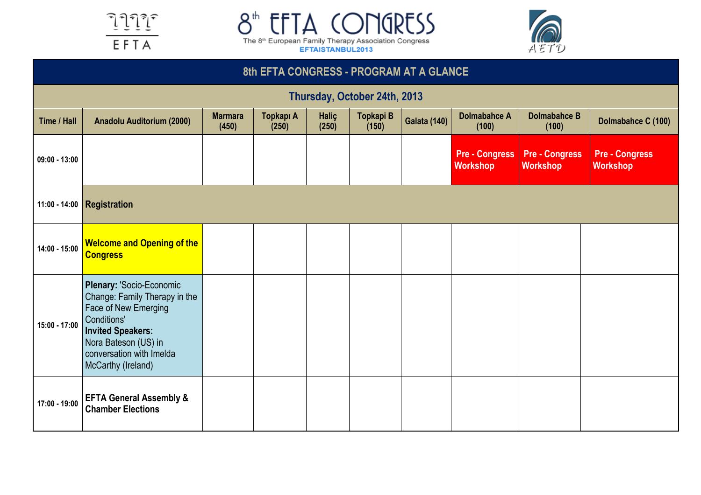





|                              | 8th EFTA CONGRESS - PROGRAM AT A GLANCE                                                                                                                                                                       |                                                                                                                                                                                                    |  |  |  |  |                                          |                                          |                                          |  |  |  |  |
|------------------------------|---------------------------------------------------------------------------------------------------------------------------------------------------------------------------------------------------------------|----------------------------------------------------------------------------------------------------------------------------------------------------------------------------------------------------|--|--|--|--|------------------------------------------|------------------------------------------|------------------------------------------|--|--|--|--|
| Thursday, October 24th, 2013 |                                                                                                                                                                                                               |                                                                                                                                                                                                    |  |  |  |  |                                          |                                          |                                          |  |  |  |  |
| Time / Hall                  | <b>Anadolu Auditorium (2000)</b>                                                                                                                                                                              | Topkapı A<br>Haliç<br>Topkapi B<br><b>Dolmabahce A</b><br><b>Dolmabahce B</b><br><b>Marmara</b><br><b>Galata (140)</b><br>Dolmabahce C (100)<br>(150)<br>(450)<br>(250)<br>(250)<br>(100)<br>(100) |  |  |  |  |                                          |                                          |                                          |  |  |  |  |
| $09:00 - 13:00$              |                                                                                                                                                                                                               |                                                                                                                                                                                                    |  |  |  |  | <b>Pre - Congress</b><br><b>Workshop</b> | <b>Pre - Congress</b><br><b>Workshop</b> | <b>Pre - Congress</b><br><b>Workshop</b> |  |  |  |  |
|                              | 11:00 - 14:00 <b>Registration</b>                                                                                                                                                                             |                                                                                                                                                                                                    |  |  |  |  |                                          |                                          |                                          |  |  |  |  |
| 14:00 - 15:00                | <b>Welcome and Opening of the</b><br><b>Congress</b>                                                                                                                                                          |                                                                                                                                                                                                    |  |  |  |  |                                          |                                          |                                          |  |  |  |  |
| 15:00 - 17:00                | Plenary: 'Socio-Economic<br>Change: Family Therapy in the<br><b>Face of New Emerging</b><br>Conditions'<br><b>Invited Speakers:</b><br>Nora Bateson (US) in<br>conversation with Imelda<br>McCarthy (Ireland) |                                                                                                                                                                                                    |  |  |  |  |                                          |                                          |                                          |  |  |  |  |
| 17:00 - 19:00                | <b>EFTA General Assembly &amp;</b><br><b>Chamber Elections</b>                                                                                                                                                |                                                                                                                                                                                                    |  |  |  |  |                                          |                                          |                                          |  |  |  |  |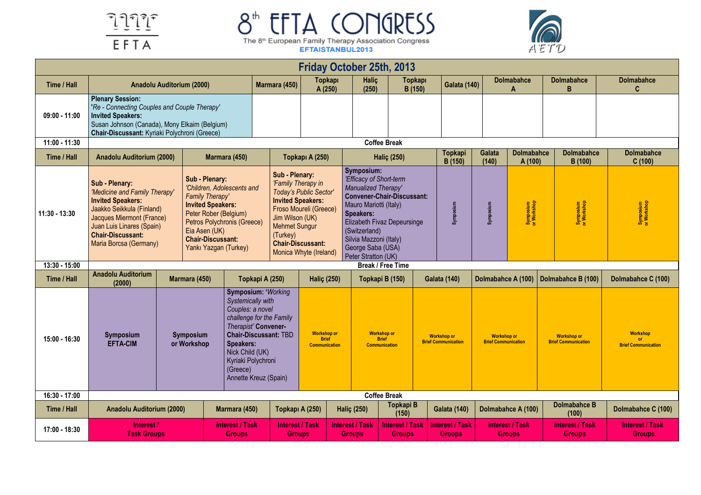



|                 |                                                                                                                                                                                                                                                                                                                                                                                                                                                              |                          |                                                                                   |                                                                                                                                                                                                                       | <b>Friday October 25th, 2013</b>                           |                                                                                                                                                                                                                                                                       |                                                            |                                                  |                          |                                                  |                                                  |                                                     |
|-----------------|--------------------------------------------------------------------------------------------------------------------------------------------------------------------------------------------------------------------------------------------------------------------------------------------------------------------------------------------------------------------------------------------------------------------------------------------------------------|--------------------------|-----------------------------------------------------------------------------------|-----------------------------------------------------------------------------------------------------------------------------------------------------------------------------------------------------------------------|------------------------------------------------------------|-----------------------------------------------------------------------------------------------------------------------------------------------------------------------------------------------------------------------------------------------------------------------|------------------------------------------------------------|--------------------------------------------------|--------------------------|--------------------------------------------------|--------------------------------------------------|-----------------------------------------------------|
| Time / Hall     | Anadolu Auditorium (2000)                                                                                                                                                                                                                                                                                                                                                                                                                                    |                          | Marmara (450)                                                                     | <b>Topkapi</b><br>A (250)                                                                                                                                                                                             | Halic<br>(250)                                             | Topkapı<br>B (150)                                                                                                                                                                                                                                                    |                                                            | <b>Galata (140)</b>                              | <b>Dolmabahce</b><br>Δ   | <b>Dolmabahce</b><br>B                           | <b>Dolmabahce</b><br>C.                          |                                                     |
| $09:00 - 11:00$ | <b>Plenary Session:</b><br>'Re - Connecting Couples and Couple Therapy'<br><b>Invited Speakers:</b><br>Susan Johnson (Canada), Mony Elkaim (Belgium)<br>Chair-Discussant: Kyriaki Polychroni (Greece)                                                                                                                                                                                                                                                        |                          |                                                                                   |                                                                                                                                                                                                                       |                                                            |                                                                                                                                                                                                                                                                       |                                                            |                                                  |                          |                                                  |                                                  |                                                     |
| 11:00 - 11:30   | <b>Coffee Break</b>                                                                                                                                                                                                                                                                                                                                                                                                                                          |                          |                                                                                   |                                                                                                                                                                                                                       |                                                            |                                                                                                                                                                                                                                                                       |                                                            |                                                  |                          |                                                  |                                                  |                                                     |
| Time / Hall     | Anadolu Auditorium (2000)                                                                                                                                                                                                                                                                                                                                                                                                                                    |                          | Marmara (450)                                                                     |                                                                                                                                                                                                                       | Topkapı A (250)                                            |                                                                                                                                                                                                                                                                       | <b>Halic (250)</b>                                         | <b>Topkapi</b><br>B (150)                        | Galata<br>(140)          | <b>Dolmabahce</b><br>A (100)                     | <b>Dolmabahce</b><br>B (100)                     | <b>Dolmabahce</b><br>C(100)                         |
| 11:30 - 13:30   | Sub - Plenary:<br>Sub - Plenary:<br>'Children, Adolescents and<br>'Medicine and Family Therapy'<br>Family Therapy'<br><b>Invited Speakers:</b><br><b>Invited Speakers:</b><br>Jaakko Seikkula (Finland)<br>Peter Rober (Belgium)<br><b>Jacques Miermont (France)</b><br>Petros Polychronis (Greece)<br>Juan Luis Linares (Spain)<br>Eia Asen (UK)<br><b>Chair-Discussant:</b><br><b>Chair-Discussant:</b><br>Maria Borcsa (Germany)<br>Yankı Yazgan (Turkey) |                          | (Turkey)                                                                          | Sub - Plenary:<br>'Family Therapy in<br>Today's Public Sector'<br><b>Invited Speakers:</b><br>Froso Moureli (Greece)<br>Jim Wilson (UK)<br><b>Mehmet Sungur</b><br><b>Chair-Discussant:</b><br>Monica Whyte (Ireland) |                                                            | Symposium:<br>'Efficacy of Short-term<br>Manualized Therapy'<br><b>Convener-Chair-Discussant:</b><br>Mauro Mariotti (Italy)<br><b>Speakers:</b><br>Elizabeth Fivaz Depeursinge<br>(Switzerland)<br>Silvia Mazzoni (Italy)<br>George Saba (USA)<br>Peter Stratton (UK) |                                                            | Symposium                                        | Symposium<br>or Workshop | Symposium<br>or Workshop                         | Symposium<br>or Workshop                         |                                                     |
| 13:30 - 15:00   |                                                                                                                                                                                                                                                                                                                                                                                                                                                              |                          |                                                                                   |                                                                                                                                                                                                                       |                                                            |                                                                                                                                                                                                                                                                       | <b>Break / Free Time</b>                                   |                                                  |                          |                                                  |                                                  |                                                     |
| Time / Hall     | <b>Anadolu Auditorium</b><br>(2000)                                                                                                                                                                                                                                                                                                                                                                                                                          | Marmara (450)            |                                                                                   | Topkapi A (250)<br><b>Halic (250)</b>                                                                                                                                                                                 |                                                            | Topkapi B (150)                                                                                                                                                                                                                                                       |                                                            | <b>Galata (140)</b>                              |                          | Dolmabahce A (100)                               | Dolmabahce B (100)                               | Dolmabahce C (100)                                  |
| $15:00 - 16:30$ | Symposium<br><b>EFTA-CIM</b>                                                                                                                                                                                                                                                                                                                                                                                                                                 | Symposium<br>or Workshop | Systemically with<br>Couples: a novel<br>Speakers:<br>Nick Child (UK)<br>(Greece) | <b>Symposium: 'Working</b><br>challenge for the Family<br>Therapist' Convener-<br><b>Chair-Discussant: TBD</b><br>Kyriaki Polychroni<br>Annette Kreuz (Spain)                                                         | <b>Workshop or</b><br><b>Brief</b><br><b>Communication</b> |                                                                                                                                                                                                                                                                       | <b>Workshop or</b><br><b>Brief</b><br><b>Communication</b> | <b>Workshop or</b><br><b>Brief Communication</b> |                          | <b>Workshop or</b><br><b>Brief Communication</b> | <b>Workshop or</b><br><b>Brief Communication</b> | <b>Workshop</b><br>or<br><b>Brief Communication</b> |
| 16:30 - 17:00   |                                                                                                                                                                                                                                                                                                                                                                                                                                                              |                          |                                                                                   |                                                                                                                                                                                                                       |                                                            |                                                                                                                                                                                                                                                                       | <b>Coffee Break</b>                                        |                                                  |                          |                                                  |                                                  |                                                     |
| Time / Hall     | Anadolu Auditorium (2000)                                                                                                                                                                                                                                                                                                                                                                                                                                    |                          | Marmara (450)                                                                     |                                                                                                                                                                                                                       | Topkapı A (250)                                            | <b>Haliç (250)</b>                                                                                                                                                                                                                                                    | Topkapi B<br>(150)                                         | <b>Galata (140)</b>                              |                          | Dolmabahce A (100)                               | Dolmabahce B<br>(100)                            | Dolmabahce C (100)                                  |
| 17:00 - 18:30   | Interest /<br><b>Task Groups</b>                                                                                                                                                                                                                                                                                                                                                                                                                             |                          | <b>Interest / Task</b><br><b>Groups</b>                                           | <b>Interest / Task</b>                                                                                                                                                                                                | <b>Groups</b>                                              | <b>Interest / Task</b><br><b>Groups</b>                                                                                                                                                                                                                               | <b>Interest / Task</b><br><b>Groups</b>                    | <b>Interest / Task</b><br><b>Groups</b>          |                          | <b>Interest / Task</b><br><b>Groups</b>          | <b>Interest / Task</b><br><b>Groups</b>          | <b>Interest / Task</b><br><b>Groups</b>             |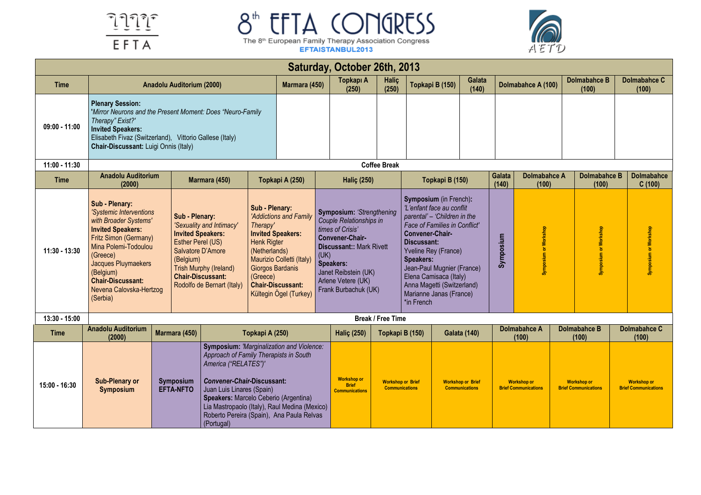



|                 |                                                                                                                                                                                                                                           |                                                                                                                                                                                                                                                                                                                                                                          |                                                                                                                                                                                                                                                                                                                                           |                                                                                                                                                                                        |                                                                                                                                                                                                                                                                               | Saturday, October 26th, 2013                                |                                                   |                                                                                                                                                                                                                                                                                                                                   |                                                   |                 |                                                   |                                                   |                                                   |
|-----------------|-------------------------------------------------------------------------------------------------------------------------------------------------------------------------------------------------------------------------------------------|--------------------------------------------------------------------------------------------------------------------------------------------------------------------------------------------------------------------------------------------------------------------------------------------------------------------------------------------------------------------------|-------------------------------------------------------------------------------------------------------------------------------------------------------------------------------------------------------------------------------------------------------------------------------------------------------------------------------------------|----------------------------------------------------------------------------------------------------------------------------------------------------------------------------------------|-------------------------------------------------------------------------------------------------------------------------------------------------------------------------------------------------------------------------------------------------------------------------------|-------------------------------------------------------------|---------------------------------------------------|-----------------------------------------------------------------------------------------------------------------------------------------------------------------------------------------------------------------------------------------------------------------------------------------------------------------------------------|---------------------------------------------------|-----------------|---------------------------------------------------|---------------------------------------------------|---------------------------------------------------|
| <b>Time</b>     |                                                                                                                                                                                                                                           | Anadolu Auditorium (2000)                                                                                                                                                                                                                                                                                                                                                |                                                                                                                                                                                                                                                                                                                                           |                                                                                                                                                                                        | Marmara (450)                                                                                                                                                                                                                                                                 | Topkapı A<br>(250)                                          | Halic<br>(250)                                    | Topkapi B (150)                                                                                                                                                                                                                                                                                                                   | Galata<br>(140)                                   |                 | Dolmabahce A (100)                                | <b>Dolmabahce B</b><br>(100)                      | <b>Dolmabahce C</b><br>(100)                      |
| $09:00 - 11:00$ | <b>Plenary Session:</b><br>'Mirror Neurons and the Present Moment: Does "Neuro-Family<br>Therapy" Exist?'<br><b>Invited Speakers:</b><br>Elisabeth Fivaz (Switzerland), Vittorio Gallese (Italy)<br>Chair-Discussant: Luigi Onnis (Italy) |                                                                                                                                                                                                                                                                                                                                                                          |                                                                                                                                                                                                                                                                                                                                           |                                                                                                                                                                                        |                                                                                                                                                                                                                                                                               |                                                             |                                                   |                                                                                                                                                                                                                                                                                                                                   |                                                   |                 |                                                   |                                                   |                                                   |
| 11:00 - 11:30   |                                                                                                                                                                                                                                           |                                                                                                                                                                                                                                                                                                                                                                          |                                                                                                                                                                                                                                                                                                                                           |                                                                                                                                                                                        |                                                                                                                                                                                                                                                                               |                                                             | <b>Coffee Break</b>                               |                                                                                                                                                                                                                                                                                                                                   |                                                   |                 |                                                   |                                                   |                                                   |
| <b>Time</b>     | <b>Anadolu Auditorium</b><br>(2000)                                                                                                                                                                                                       |                                                                                                                                                                                                                                                                                                                                                                          | Marmara (450)                                                                                                                                                                                                                                                                                                                             | Topkapi A (250)                                                                                                                                                                        |                                                                                                                                                                                                                                                                               | <b>Haliç (250)</b>                                          |                                                   | Topkapi B (150)                                                                                                                                                                                                                                                                                                                   |                                                   | Galata<br>(140) | Dolmabahce A<br>(100)                             | Dolmabahce B<br>(100)                             | <b>Dolmabahce</b><br>C(100)                       |
| 11:30 - 13:30   | Sub - Plenary:<br><b>Invited Speakers:</b><br>(Greece)<br>(Belgium)<br><b>Chair-Discussant:</b><br>(Serbia)                                                                                                                               | 'Systemic Interventions<br>Sub - Plenary:<br>with Broader Systems'<br>'Sexuality and Intimacy'<br><b>Invited Speakers:</b><br>Fritz Simon (Germany)<br>Esther Perel (US)<br>Mina Polemi-Todoulou<br>Salvatore D'Amore<br>(Belgium)<br>Jacques Pluymaekers<br>Trish Murphy (Ireland)<br><b>Chair-Discussant:</b><br>Rodolfo de Bernart (Italy)<br>Nevena Calovska-Hertzog |                                                                                                                                                                                                                                                                                                                                           | Sub - Plenary:<br>Therapy'<br><b>Invited Speakers:</b><br><b>Henk Rigter</b><br>(Netherlands)<br>Maurizio Colletti (Italy)<br>Giorgos Bardanis<br>(Greece)<br><b>Chair-Discussant:</b> | Symposium: 'Strengthening<br>'Addictions and Family<br>Couple Relationships in<br>times of Crisis'<br>Convener-Chair-<br><b>Discussant:: Mark Rivett</b><br>(UK)<br>Speakers:<br>Janet Reibstein (UK)<br>Arlene Vetere (UK)<br>Frank Burbachuk (UK)<br>Kültegin Ögel (Turkey) |                                                             |                                                   | Symposium (in French):<br>'L'enfant face au conflit<br>parental' - 'Children in the<br>Face of Families in Conflict'<br>Convener-Chair-<br>Discussant:<br>Yveline Rey (France)<br><b>Speakers:</b><br>Jean-Paul Mugnier (France)<br>Elena Camisaca (Italy)<br>Anna Magetti (Switzerland)<br>Marianne Janas (France)<br>*in French |                                                   | Symposium       | Symposium or Workshop                             | Symposium or Workshop                             | Symposium or Workshop                             |
| 13:30 - 15:00   |                                                                                                                                                                                                                                           |                                                                                                                                                                                                                                                                                                                                                                          |                                                                                                                                                                                                                                                                                                                                           |                                                                                                                                                                                        |                                                                                                                                                                                                                                                                               |                                                             | <b>Break / Free Time</b>                          |                                                                                                                                                                                                                                                                                                                                   |                                                   |                 |                                                   |                                                   |                                                   |
| Time            | <b>Anadolu Auditorium</b><br>(2000)                                                                                                                                                                                                       | Marmara (450)                                                                                                                                                                                                                                                                                                                                                            |                                                                                                                                                                                                                                                                                                                                           | Topkapi A (250)                                                                                                                                                                        |                                                                                                                                                                                                                                                                               | <b>Halic (250)</b>                                          | Topkapi B (150)                                   |                                                                                                                                                                                                                                                                                                                                   | <b>Galata (140)</b>                               |                 | Dolmabahce A<br>(100)                             | <b>Dolmabahce B</b><br>(100)                      | Dolmabahce C<br>(100)                             |
| $15:00 - 16:30$ | <b>Sub-Plenary or</b><br><b>Symposium</b>                                                                                                                                                                                                 | <b>Symposium</b><br><b>EFTA-NFTO</b>                                                                                                                                                                                                                                                                                                                                     | <b>Symposium: 'Marginalization and Violence:</b><br>Approach of Family Therapists in South<br>America ("RELATES")'<br><b>Convener-Chair-Discussant:</b><br>Juan Luis Linares (Spain)<br>Speakers: Marcelo Ceberio (Argentina)<br>Lia Mastropaolo (Italy), Raul Medina (Mexico)<br>Roberto Pereira (Spain), Ana Paula Relvas<br>(Portugal) |                                                                                                                                                                                        |                                                                                                                                                                                                                                                                               | <b>Workshop or</b><br><b>Brief</b><br><b>Communications</b> | <b>Workshop or Brief</b><br><b>Communications</b> |                                                                                                                                                                                                                                                                                                                                   | <b>Workshop or Brief</b><br><b>Communications</b> |                 | <b>Workshop or</b><br><b>Brief Communications</b> | <b>Workshop or</b><br><b>Brief Communications</b> | <b>Workshop or</b><br><b>Brief Communications</b> |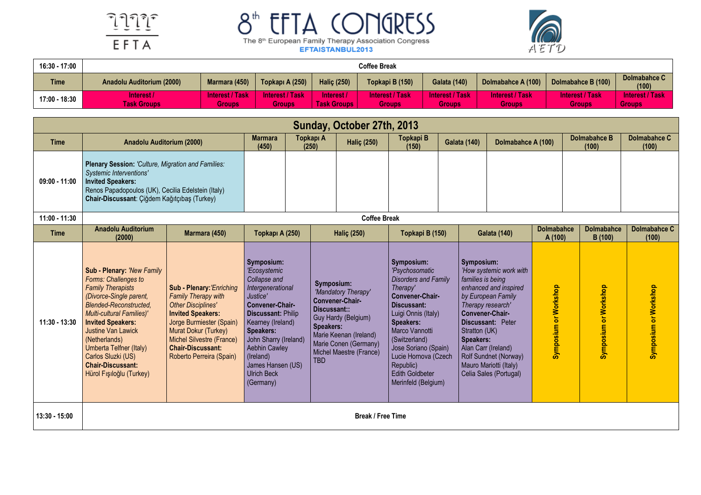



| 16:30 - 17:00 | <b>Coffee Break</b>             |                                  |                           |                                  |                                  |                           |                                         |                                         |                                         |  |  |  |  |
|---------------|---------------------------------|----------------------------------|---------------------------|----------------------------------|----------------------------------|---------------------------|-----------------------------------------|-----------------------------------------|-----------------------------------------|--|--|--|--|
| <b>Time</b>   | Anadolu Auditorium (2000)       | Marmara (450)                    | Topkapı A (250)           | <b>Halic (250)</b>               | Topkapi B (150)                  | <b>Galata (140)</b>       | Dolmabahce A (100)                      | Dolmabahce B (100)                      | Dolmabahce C<br>(100)                   |  |  |  |  |
| 17:00 - 18:30 | nterest /<br><b>Task Groups</b> | <b>Interest / Task</b><br>Groups | Interest / Task<br>Groups | Interest /<br><b>Task Groups</b> | <b>Interest / Task</b><br>Groups | Interest / Task<br>Groups | <b>Interest / Task</b><br><b>Groups</b> | <b>Interest / Task</b><br><b>Groups</b> | <b>Interest / Task</b><br><b>Groups</b> |  |  |  |  |

|                 | Sunday, October 27th, 2013<br><b>Dolmabahce B</b>                                                                                                                                                                                                                                                                                                                 |                                                                                                                                                                                                                                                           |                                                                                                                                                                                                                                                                                     |  |                                                                                                                                                                                                                                   |                          |                                                                                                                                                                                                                                                                                                |  |                                                                                                                              |                                                                                                                                                                          |                              |                              |                              |
|-----------------|-------------------------------------------------------------------------------------------------------------------------------------------------------------------------------------------------------------------------------------------------------------------------------------------------------------------------------------------------------------------|-----------------------------------------------------------------------------------------------------------------------------------------------------------------------------------------------------------------------------------------------------------|-------------------------------------------------------------------------------------------------------------------------------------------------------------------------------------------------------------------------------------------------------------------------------------|--|-----------------------------------------------------------------------------------------------------------------------------------------------------------------------------------------------------------------------------------|--------------------------|------------------------------------------------------------------------------------------------------------------------------------------------------------------------------------------------------------------------------------------------------------------------------------------------|--|------------------------------------------------------------------------------------------------------------------------------|--------------------------------------------------------------------------------------------------------------------------------------------------------------------------|------------------------------|------------------------------|------------------------------|
| <b>Time</b>     | Anadolu Auditorium (2000)                                                                                                                                                                                                                                                                                                                                         |                                                                                                                                                                                                                                                           | <b>Marmara</b><br>(450)                                                                                                                                                                                                                                                             |  | Topkapı A<br>(250)                                                                                                                                                                                                                | <b>Haliç (250)</b>       | Topkapi B<br>(150)                                                                                                                                                                                                                                                                             |  | <b>Galata (140)</b>                                                                                                          |                                                                                                                                                                          | Dolmabahce A (100)           |                              | <b>Dolmabahce C</b><br>(100) |
| $09:00 - 11:00$ | Plenary Session: 'Culture, Migration and Families:<br><b>Systemic Interventions'</b><br><b>Invited Speakers:</b><br>Renos Papadopoulos (UK), Cecilia Edelstein (Italy)<br>Chair-Discussant: Çiğdem Kağıtçıbaş (Turkey)                                                                                                                                            |                                                                                                                                                                                                                                                           |                                                                                                                                                                                                                                                                                     |  |                                                                                                                                                                                                                                   |                          |                                                                                                                                                                                                                                                                                                |  |                                                                                                                              |                                                                                                                                                                          |                              |                              |                              |
| 11:00 - 11:30   |                                                                                                                                                                                                                                                                                                                                                                   |                                                                                                                                                                                                                                                           |                                                                                                                                                                                                                                                                                     |  |                                                                                                                                                                                                                                   | <b>Coffee Break</b>      |                                                                                                                                                                                                                                                                                                |  |                                                                                                                              |                                                                                                                                                                          |                              |                              |                              |
| <b>Time</b>     | <b>Anadolu Auditorium</b><br>(2000)                                                                                                                                                                                                                                                                                                                               | Marmara (450)                                                                                                                                                                                                                                             | Topkapı A (250)                                                                                                                                                                                                                                                                     |  |                                                                                                                                                                                                                                   |                          | Topkapi B (150)                                                                                                                                                                                                                                                                                |  | <b>Galata (140)</b>                                                                                                          |                                                                                                                                                                          | <b>Dolmabahce</b><br>A (100) | <b>Dolmabahce</b><br>B (100) | <b>Dolmabahce C</b><br>(100) |
| 11:30 - 13:30   | Sub - Plenary: 'New Family<br>Forms: Challenges to<br><b>Family Therapists</b><br>(Divorce-Single parent,<br><b>Blended-Reconstructed,</b><br><b>Multi-cultural Families)'</b><br><b>Invited Speakers:</b><br><b>Justine Van Lawick</b><br>(Netherlands)<br>Umberta Telfner (Italy)<br>Carlos Sluzki (US)<br><b>Chair-Discussant:</b><br>Hürol Fışıloğlu (Turkey) | Sub - Plenary: 'Enriching<br><b>Family Therapy with</b><br><b>Other Disciplines'</b><br><b>Invited Speakers:</b><br>Jorge Burmiester (Spain)<br>Murat Dokur (Turkey)<br>Michel Silvestre (France)<br><b>Chair-Discussant:</b><br>Roberto Perreira (Spain) | Symposium:<br>'Ecosystemic<br>Collapse and<br>Intergenerational<br>Justice'<br>Convener-Chair-<br><b>Discussant: Philip</b><br>Kearney (Ireland)<br>Speakers:<br>John Sharry (Ireland)<br><b>Aebhin Cawley</b><br>(Ireland)<br>James Hansen (US)<br><b>Ulrich Beck</b><br>(Germany) |  | <b>Haliç (250)</b><br>Symposium:<br>'Mandatory Therapy'<br>Convener-Chair-<br>Discussant::<br>Guy Hardy (Belgium)<br><b>Speakers:</b><br>Marie Keenan (Ireland)<br>Marie Conen (Germany)<br>Michel Maestre (France)<br><b>TBD</b> |                          | Symposium:<br>'Psychosomatic<br><b>Disorders and Family</b><br>Therapy'<br>Convener-Chair-<br>Discussant:<br>Luigi Onnis (Italy)<br>Speakers:<br>Marco Vannotti<br>(Switzerland)<br>Jose Soriano (Spain)<br>Lucie Hornova (Czech<br>Republic)<br><b>Edith Goldbeter</b><br>Merinfeld (Belgium) |  | Symposium:<br>families is being<br>Therapy research'<br>Convener-Chair-<br>Stratton (UK)<br>Speakers:<br>Alan Carr (Ireland) | 'How systemic work with<br>enhanced and inspired<br>by European Family<br>Discussant: Peter<br>Rolf Sundnet (Norway)<br>Mauro Mariotti (Italy)<br>Celia Sales (Portugal) | Symposium or Workshop        | Symposium or Workshop        | Symposium or Workshop        |
| 13:30 - 15:00   |                                                                                                                                                                                                                                                                                                                                                                   |                                                                                                                                                                                                                                                           |                                                                                                                                                                                                                                                                                     |  |                                                                                                                                                                                                                                   | <b>Break / Free Time</b> |                                                                                                                                                                                                                                                                                                |  |                                                                                                                              |                                                                                                                                                                          |                              |                              |                              |